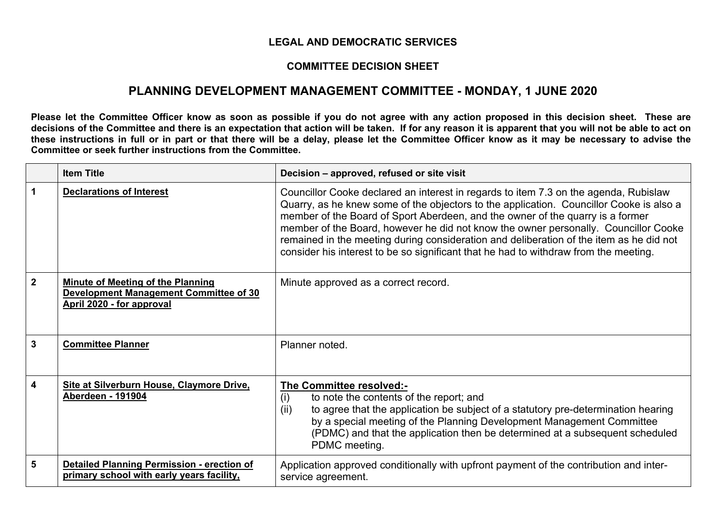## **LEGAL AND DEMOCRATIC SERVICES**

## **COMMITTEE DECISION SHEET**

## **PLANNING DEVELOPMENT MANAGEMENT COMMITTEE - MONDAY, 1 JUNE 2020**

Please let the Committee Officer know as soon as possible if you do not agree with any action proposed in this decision sheet. These are decisions of the Committee and there is an expectation that action will be taken. If for any reason it is apparent that you will not be able to act on these instructions in full or in part or that there will be a delay, please let the Committee Officer know as it may be necessary to advise the **Committee or seek further instructions from the Committee.**

|                         | <b>Item Title</b>                                                                                               | Decision - approved, refused or site visit                                                                                                                                                                                                                                                                                                                                                                                                                                                                                                  |
|-------------------------|-----------------------------------------------------------------------------------------------------------------|---------------------------------------------------------------------------------------------------------------------------------------------------------------------------------------------------------------------------------------------------------------------------------------------------------------------------------------------------------------------------------------------------------------------------------------------------------------------------------------------------------------------------------------------|
|                         | <b>Declarations of Interest</b>                                                                                 | Councillor Cooke declared an interest in regards to item 7.3 on the agenda, Rubislaw<br>Quarry, as he knew some of the objectors to the application. Councillor Cooke is also a<br>member of the Board of Sport Aberdeen, and the owner of the quarry is a former<br>member of the Board, however he did not know the owner personally. Councillor Cooke<br>remained in the meeting during consideration and deliberation of the item as he did not<br>consider his interest to be so significant that he had to withdraw from the meeting. |
| $\overline{2}$          | <b>Minute of Meeting of the Planning</b><br>Development Management Committee of 30<br>April 2020 - for approval | Minute approved as a correct record.                                                                                                                                                                                                                                                                                                                                                                                                                                                                                                        |
| $\mathbf{3}$            | <b>Committee Planner</b>                                                                                        | Planner noted.                                                                                                                                                                                                                                                                                                                                                                                                                                                                                                                              |
| $\overline{\mathbf{4}}$ | Site at Silverburn House, Claymore Drive,<br><b>Aberdeen - 191904</b>                                           | The Committee resolved:-<br>to note the contents of the report; and<br>(i)<br>to agree that the application be subject of a statutory pre-determination hearing<br>(ii)<br>by a special meeting of the Planning Development Management Committee<br>(PDMC) and that the application then be determined at a subsequent scheduled<br>PDMC meeting.                                                                                                                                                                                           |
| 5                       | <b>Detailed Planning Permission - erection of</b><br>primary school with early years facility,                  | Application approved conditionally with upfront payment of the contribution and inter-<br>service agreement.                                                                                                                                                                                                                                                                                                                                                                                                                                |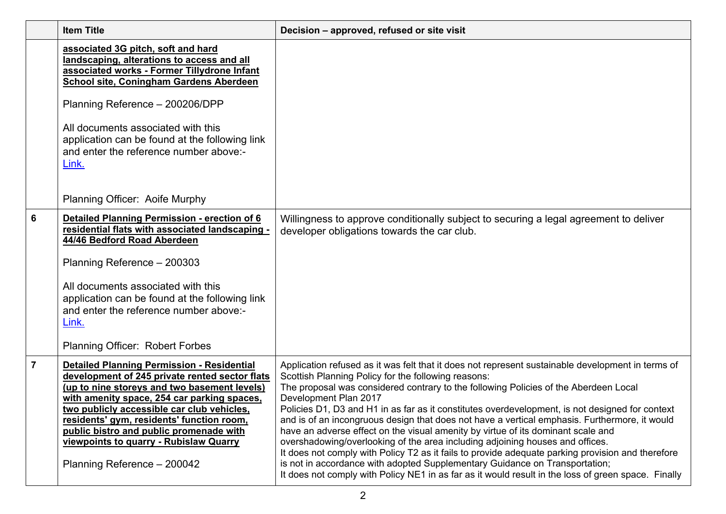|                | <b>Item Title</b>                                                                                                                                                                                                                                                                                                                                                                                                 | Decision – approved, refused or site visit                                                                                                                                                                                                                                                                                                                                                                                                                                                                                                                                                                                                                                                                                                                                                                                                                                                                                                    |
|----------------|-------------------------------------------------------------------------------------------------------------------------------------------------------------------------------------------------------------------------------------------------------------------------------------------------------------------------------------------------------------------------------------------------------------------|-----------------------------------------------------------------------------------------------------------------------------------------------------------------------------------------------------------------------------------------------------------------------------------------------------------------------------------------------------------------------------------------------------------------------------------------------------------------------------------------------------------------------------------------------------------------------------------------------------------------------------------------------------------------------------------------------------------------------------------------------------------------------------------------------------------------------------------------------------------------------------------------------------------------------------------------------|
|                | associated 3G pitch, soft and hard<br>landscaping, alterations to access and all<br>associated works - Former Tillydrone Infant<br>School site, Coningham Gardens Aberdeen                                                                                                                                                                                                                                        |                                                                                                                                                                                                                                                                                                                                                                                                                                                                                                                                                                                                                                                                                                                                                                                                                                                                                                                                               |
|                | Planning Reference - 200206/DPP                                                                                                                                                                                                                                                                                                                                                                                   |                                                                                                                                                                                                                                                                                                                                                                                                                                                                                                                                                                                                                                                                                                                                                                                                                                                                                                                                               |
|                | All documents associated with this<br>application can be found at the following link<br>and enter the reference number above:-<br>Link.                                                                                                                                                                                                                                                                           |                                                                                                                                                                                                                                                                                                                                                                                                                                                                                                                                                                                                                                                                                                                                                                                                                                                                                                                                               |
|                | Planning Officer: Aoife Murphy                                                                                                                                                                                                                                                                                                                                                                                    |                                                                                                                                                                                                                                                                                                                                                                                                                                                                                                                                                                                                                                                                                                                                                                                                                                                                                                                                               |
| 6              | Detailed Planning Permission - erection of 6<br>residential flats with associated landscaping -<br>44/46 Bedford Road Aberdeen<br>Planning Reference - 200303<br>All documents associated with this                                                                                                                                                                                                               | Willingness to approve conditionally subject to securing a legal agreement to deliver<br>developer obligations towards the car club.                                                                                                                                                                                                                                                                                                                                                                                                                                                                                                                                                                                                                                                                                                                                                                                                          |
|                | application can be found at the following link<br>and enter the reference number above:-<br>Link.                                                                                                                                                                                                                                                                                                                 |                                                                                                                                                                                                                                                                                                                                                                                                                                                                                                                                                                                                                                                                                                                                                                                                                                                                                                                                               |
| $\overline{7}$ | <b>Planning Officer: Robert Forbes</b>                                                                                                                                                                                                                                                                                                                                                                            |                                                                                                                                                                                                                                                                                                                                                                                                                                                                                                                                                                                                                                                                                                                                                                                                                                                                                                                                               |
|                | <b>Detailed Planning Permission - Residential</b><br>development of 245 private rented sector flats<br>(up to nine storeys and two basement levels)<br>with amenity space, 254 car parking spaces,<br>two publicly accessible car club vehicles,<br>residents' gym, residents' function room,<br>public bistro and public promenade with<br>viewpoints to quarry - Rubislaw Quarry<br>Planning Reference - 200042 | Application refused as it was felt that it does not represent sustainable development in terms of<br>Scottish Planning Policy for the following reasons:<br>The proposal was considered contrary to the following Policies of the Aberdeen Local<br>Development Plan 2017<br>Policies D1, D3 and H1 in as far as it constitutes overdevelopment, is not designed for context<br>and is of an incongruous design that does not have a vertical emphasis. Furthermore, it would<br>have an adverse effect on the visual amenity by virtue of its dominant scale and<br>overshadowing/overlooking of the area including adjoining houses and offices.<br>It does not comply with Policy T2 as it fails to provide adequate parking provision and therefore<br>is not in accordance with adopted Supplementary Guidance on Transportation;<br>It does not comply with Policy NE1 in as far as it would result in the loss of green space. Finally |